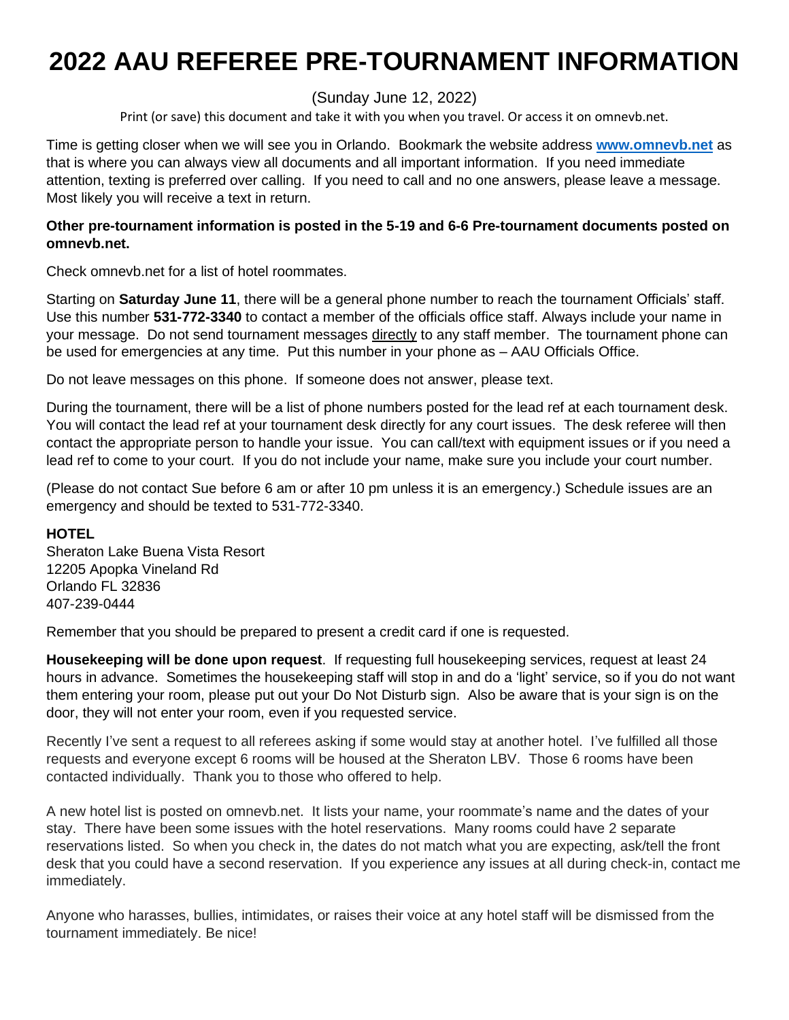# **2022 AAU REFEREE PRE-TOURNAMENT INFORMATION**

(Sunday June 12, 2022)

Print (or save) this document and take it with you when you travel. Or access it on omnevb.net.

Time is getting closer when we will see you in Orlando. Bookmark the website address **[www.omnevb.net](http://www.omnevb.net/)** as that is where you can always view all documents and all important information. If you need immediate attention, texting is preferred over calling. If you need to call and no one answers, please leave a message. Most likely you will receive a text in return.

### **Other pre-tournament information is posted in the 5-19 and 6-6 Pre-tournament documents posted on omnevb.net.**

Check omnevb.net for a list of hotel roommates.

Starting on **Saturday June 11**, there will be a general phone number to reach the tournament Officials' staff. Use this number **531-772-3340** to contact a member of the officials office staff. Always include your name in your message. Do not send tournament messages directly to any staff member. The tournament phone can be used for emergencies at any time. Put this number in your phone as – AAU Officials Office.

Do not leave messages on this phone. If someone does not answer, please text.

During the tournament, there will be a list of phone numbers posted for the lead ref at each tournament desk. You will contact the lead ref at your tournament desk directly for any court issues. The desk referee will then contact the appropriate person to handle your issue. You can call/text with equipment issues or if you need a lead ref to come to your court. If you do not include your name, make sure you include your court number.

(Please do not contact Sue before 6 am or after 10 pm unless it is an emergency.) Schedule issues are an emergency and should be texted to 531-772-3340.

### **HOTEL**

Sheraton Lake Buena Vista Resort 12205 Apopka Vineland Rd Orlando FL 32836 407-239-0444

Remember that you should be prepared to present a credit card if one is requested.

**Housekeeping will be done upon request**. If requesting full housekeeping services, request at least 24 hours in advance. Sometimes the housekeeping staff will stop in and do a 'light' service, so if you do not want them entering your room, please put out your Do Not Disturb sign. Also be aware that is your sign is on the door, they will not enter your room, even if you requested service.

Recently I've sent a request to all referees asking if some would stay at another hotel. I've fulfilled all those requests and everyone except 6 rooms will be housed at the Sheraton LBV. Those 6 rooms have been contacted individually. Thank you to those who offered to help.

A new hotel list is posted on omnevb.net. It lists your name, your roommate's name and the dates of your stay. There have been some issues with the hotel reservations. Many rooms could have 2 separate reservations listed. So when you check in, the dates do not match what you are expecting, ask/tell the front desk that you could have a second reservation. If you experience any issues at all during check-in, contact me immediately.

Anyone who harasses, bullies, intimidates, or raises their voice at any hotel staff will be dismissed from the tournament immediately. Be nice!